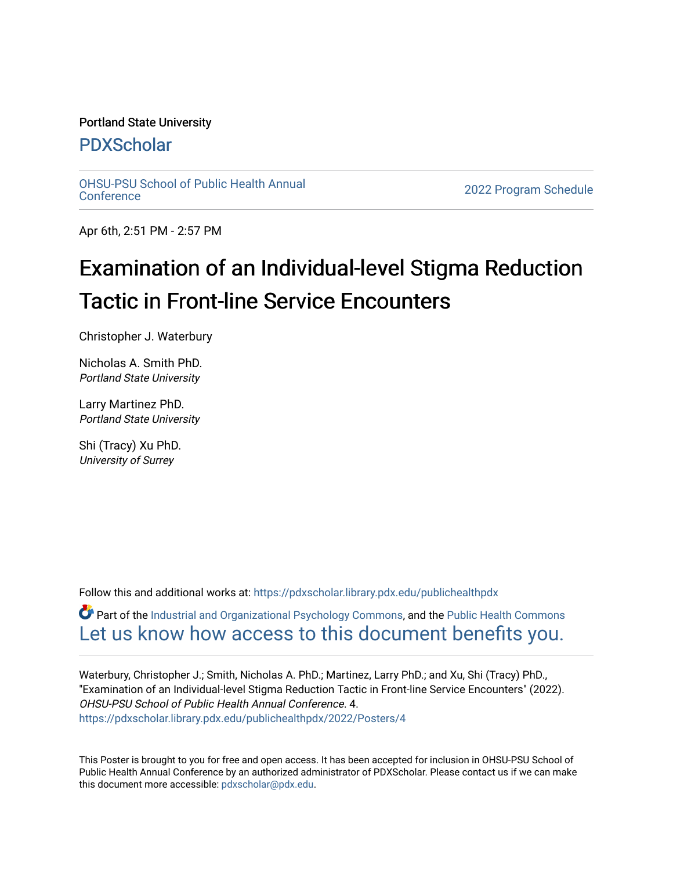#### Portland State University

#### [PDXScholar](https://pdxscholar.library.pdx.edu/)

[OHSU-PSU School of Public Health Annual](https://pdxscholar.library.pdx.edu/publichealthpdx)

2022 Program Schedule

Apr 6th, 2:51 PM - 2:57 PM

#### Examination of an Individual-level Stigma Reduction Tactic in Front-line Service Encounters

Christopher J. Waterbury

Nicholas A. Smith PhD. Portland State University

Larry Martinez PhD. Portland State University

Shi (Tracy) Xu PhD. University of Surrey

Follow this and additional works at: https://pdxscholar.library.pdx.edu/publichealthpdx

Part of the [Industrial and Organizational Psychology Commons,](http://network.bepress.com/hgg/discipline/412?utm_source=pdxscholar.library.pdx.edu%2Fpublichealthpdx%2F2022%2FPosters%2F4&utm_medium=PDF&utm_campaign=PDFCoverPages) and the [Public Health Commons](http://network.bepress.com/hgg/discipline/738?utm_source=pdxscholar.library.pdx.edu%2Fpublichealthpdx%2F2022%2FPosters%2F4&utm_medium=PDF&utm_campaign=PDFCoverPages) [Let us know how access to this document benefits you.](http://library.pdx.edu/services/pdxscholar-services/pdxscholar-feedback/) 

Waterbury, Christopher J.; Smith, Nicholas A. PhD.; Martinez, Larry PhD.; and Xu, Shi (Tracy) PhD., "Examination of an Individual-level Stigma Reduction Tactic in Front-line Service Encounters" (2022). OHSU-PSU School of Public Health Annual Conference. 4. [https://pdxscholar.library.pdx.edu/publichealthpdx/2022/Posters/4](https://pdxscholar.library.pdx.edu/publichealthpdx/2022/Posters/4?utm_source=pdxscholar.library.pdx.edu%2Fpublichealthpdx%2F2022%2FPosters%2F4&utm_medium=PDF&utm_campaign=PDFCoverPages)

This Poster is brought to you for free and open access. It has been accepted for inclusion in OHSU-PSU School of Public Health Annual Conference by an authorized administrator of PDXScholar. Please contact us if we can make this document more accessible: [pdxscholar@pdx.edu.](mailto:pdxscholar@pdx.edu)